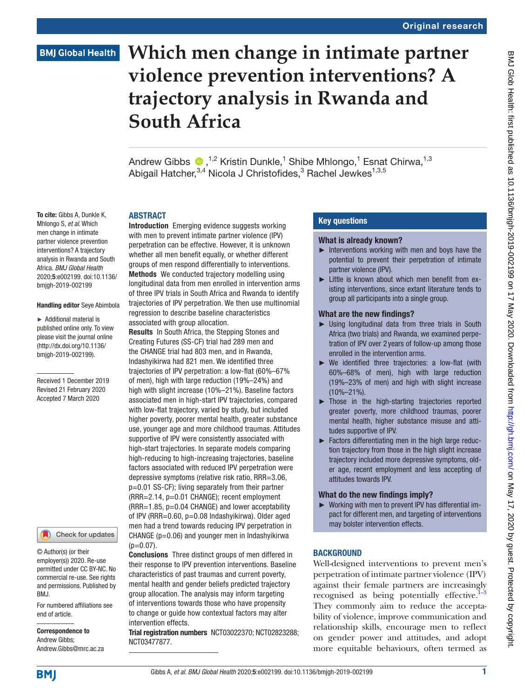# **Which men change in intimate partner violence prevention interventions? A trajectory analysis in Rwanda and South Africa**

AndrewGibbs  $\bigcirc$ , <sup>1,2</sup> Kristin Dunkle,<sup>1</sup> Shibe Mhlongo,<sup>1</sup> Esnat Chirwa,<sup>1,3</sup> Abigail Hatcher, 3,4 Nicola J Christofides, 3 Rachel Jewkes 1,3,5

#### **ARSTRACT**

To cite: Gibbs A, Dunkle K, Mhlongo S, *et al*. Which men change in intimate partner violence prevention interventions? A trajectory analysis in Rwanda and South Africa. *BMJ Global Health* 2020;5:e002199. doi:10.1136/ bmjgh-2019-002199

#### Handling editor Seye Abimbola

► Additional material is published online only. To view please visit the journal online ([http://dx.doi.org/10.1136/](http://dx.doi.org/10.1136/bmjgh-2019-002199) [bmjgh-2019-002199\)](http://dx.doi.org/10.1136/bmjgh-2019-002199).

Received 1 December 2019 Revised 21 February 2020 Accepted 7 March 2020



© Author(s) (or their employer(s)) 2020. Re-use permitted under CC BY-NC. No commercial re-use. See rights and permissions. Published by BMJ.

For numbered affiliations see end of article.

Correspondence to Andrew Gibbs; Andrew.Gibbs@mrc.ac.za Introduction Emerging evidence suggests working with men to prevent intimate partner violence (IPV) perpetration can be effective. However, it is unknown whether all men benefit equally, or whether different groups of men respond differentially to interventions. Methods We conducted trajectory modelling using longitudinal data from men enrolled in intervention arms of three IPV trials in South Africa and Rwanda to identify trajectories of IPV perpetration. We then use multinomial regression to describe baseline characteristics associated with group allocation.

Results In South Africa, the Stepping Stones and Creating Futures (SS-CF) trial had 289 men and the CHANGE trial had 803 men, and in Rwanda, Indashyikirwa had 821 men. We identified three trajectories of IPV perpetration: a low-flat (60%–67% of men), high with large reduction (19%–24%) and high with slight increase (10%–21%). Baseline factors associated men in high-start IPV trajectories, compared with low-flat trajectory, varied by study, but included higher poverty, poorer mental health, greater substance use, younger age and more childhood traumas. Attitudes supportive of IPV were consistently associated with high-start trajectories. In separate models comparing high-reducing to high-increasing trajectories, baseline factors associated with reduced IPV perpetration were depressive symptoms (relative risk ratio, RRR=3.06, p=0.01 SS-CF); living separately from their partner (RRR=2.14, p=0.01 CHANGE); recent employment (RRR=1.85, p=0.04 CHANGE) and lower acceptability of IPV (RRR=0.60, p=0.08 Indashyikirwa). Older aged men had a trend towards reducing IPV perpetration in CHANGE ( $p=0.06$ ) and younger men in Indashyikirwa  $(p=0.07)$ .

Conclusions Three distinct groups of men differed in their response to IPV prevention interventions. Baseline characteristics of past traumas and current poverty, mental health and gender beliefs predicted trajectory group allocation. The analysis may inform targeting of interventions towards those who have propensity to change or guide how contextual factors may alter intervention effects.

Trial registration numbers [NCT03022370;](NCT03022370) [NCT02823288;](NCT02823288) <NCT03477877>.

# Key questions

#### What is already known?

- $\blacktriangleright$  Interventions working with men and boys have the potential to prevent their perpetration of intimate partner violence (IPV).
- Little is known about which men benefit from existing interventions, since extant literature tends to group all participants into a single group.

#### What are the new findings?

- ► Using longitudinal data from three trials in South Africa (two trials) and Rwanda, we examined perpetration of IPV over 2 years of follow-up among those enrolled in the intervention arms.
- ► We identified three trajectories: a low-flat (with 60%–68% of men), high with large reduction (19%–23% of men) and high with slight increase (10%–21%).
- ► Those in the high-starting trajectories reported greater poverty, more childhood traumas, poorer mental health, higher substance misuse and attitudes supportive of IPV.
- ► Factors differentiating men in the high large reduction trajectory from those in the high slight increase trajectory included more depressive symptoms, older age, recent employment and less accepting of attitudes towards IPV.

#### What do the new findings imply?

► Working with men to prevent IPV has differential impact for different men, and targeting of interventions may bolster intervention effects.

# **BACKGROUND**

Well-designed interventions to prevent men's perpetration of intimate partner violence (IPV) against their female partners are increasingly recognised as being potentially effective. $1-3$ They commonly aim to reduce the acceptability of violence, improve communication and relationship skills, encourage men to reflect on gender power and attitudes, and adopt more equitable behaviours, often termed as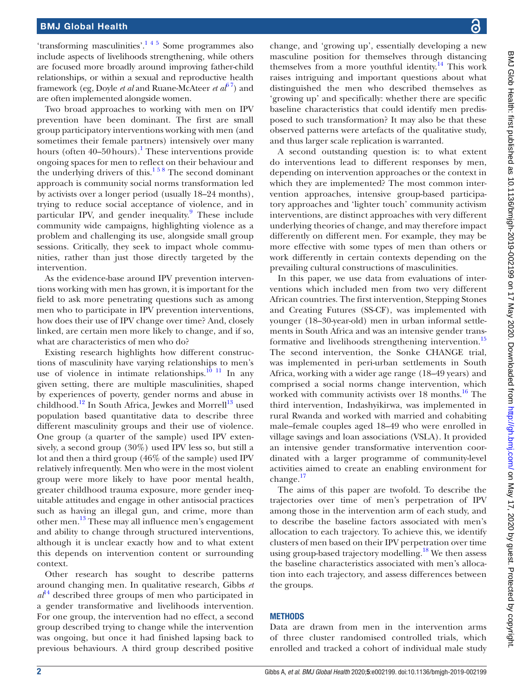'transforming masculinities'[.1 4 5](#page-12-0) Some programmes also include aspects of livelihoods strengthening, while others are focused more broadly around improving father-child relationships, or within a sexual and reproductive health framework (eg, Doyle *et al* and Ruane-McAteer *et al*[6 7](#page-12-1)) and are often implemented alongside women.

Two broad approaches to working with men on IPV prevention have been dominant. The first are small group participatory interventions working with men (and sometimes their female partners) intensively over many hours (often 40–50 hours).<sup>1</sup> These interventions provide ongoing spaces for men to reflect on their behaviour and the underlying drivers of this. $158$  The second dominant approach is community social norms transformation led by activists over a longer period (usually 18–24 months), trying to reduce social acceptance of violence, and in particular IPV, and gender inequality.<sup>[9](#page-13-0)</sup> These include community wide campaigns, highlighting violence as a problem and challenging its use, alongside small group sessions. Critically, they seek to impact whole communities, rather than just those directly targeted by the intervention.

As the evidence-base around IPV prevention interventions working with men has grown, it is important for the field to ask more penetrating questions such as among men who to participate in IPV prevention interventions, how does their use of IPV change over time? And, closely linked, are certain men more likely to change, and if so, what are characteristics of men who do?

Existing research highlights how different constructions of masculinity have varying relationships to men's use of violence in intimate relationships. $10^{-11}$  In any given setting, there are multiple masculinities, shaped by experiences of poverty, gender norms and abuse in childhood.<sup>[12](#page-13-2)</sup> In South Africa, Jewkes and Morrell<sup>13</sup> used population based quantitative data to describe three different masculinity groups and their use of violence. One group (a quarter of the sample) used IPV extensively, a second group (30%) used IPV less so, but still a lot and then a third group (46% of the sample) used IPV relatively infrequently. Men who were in the most violent group were more likely to have poor mental health, greater childhood trauma exposure, more gender inequitable attitudes and engage in other antisocial practices such as having an illegal gun, and crime, more than other men.[13](#page-13-3) These may all influence men's engagement and ability to change through structured interventions, although it is unclear exactly how and to what extent this depends on intervention content or surrounding context.

Other research has sought to describe patterns around changing men. In qualitative research, Gibbs *et*   $a^{14}$  $a^{14}$  $a^{14}$  described three groups of men who participated in a gender transformative and livelihoods intervention. For one group, the intervention had no effect, a second group described trying to change while the intervention was ongoing, but once it had finished lapsing back to previous behaviours. A third group described positive

change, and 'growing up', essentially developing a new masculine position for themselves through distancing themselves from a more youthful identity.<sup>[14](#page-13-4)</sup> This work raises intriguing and important questions about what distinguished the men who described themselves as 'growing up' and specifically: whether there are specific baseline characteristics that could identify men predisposed to such transformation? It may also be that these observed patterns were artefacts of the qualitative study, and thus larger scale replication is warranted.

A second outstanding question is: to what extent do interventions lead to different responses by men, depending on intervention approaches or the context in which they are implemented? The most common intervention approaches, intensive group-based participatory approaches and 'lighter touch' community activism interventions, are distinct approaches with very different underlying theories of change, and may therefore impact differently on different men. For example, they may be more effective with some types of men than others or work differently in certain contexts depending on the prevailing cultural constructions of masculinities.

In this paper, we use data from evaluations of interventions which included men from two very different African countries. The first intervention, Stepping Stones and Creating Futures (SS-CF), was implemented with younger (18–30-year-old) men in urban informal settlements in South Africa and was an intensive gender trans-formative and livelihoods strengthening intervention.<sup>[15](#page-13-5)</sup> The second intervention, the Sonke CHANGE trial, was implemented in peri-urban settlements in South Africa, working with a wider age range (18–49 years) and comprised a social norms change intervention, which worked with community activists over 18 months.<sup>16</sup> The third intervention, Indashyikirwa, was implemented in rural Rwanda and worked with married and cohabiting male–female couples aged 18–49 who were enrolled in village savings and loan associations (VSLA). It provided an intensive gender transformative intervention coordinated with a larger programme of community-level activities aimed to create an enabling environment for change.[17](#page-13-7)

The aims of this paper are twofold. To describe the trajectories over time of men's perpetration of IPV among those in the intervention arm of each study, and to describe the baseline factors associated with men's allocation to each trajectory. To achieve this, we identify clusters of men based on their IPV perpetration over time using group-based trajectory modelling.<sup>[18](#page-13-8)</sup> We then assess the baseline characteristics associated with men's allocation into each trajectory, and assess differences between the groups.

#### **METHODS**

Data are drawn from men in the intervention arms of three cluster randomised controlled trials, which enrolled and tracked a cohort of individual male study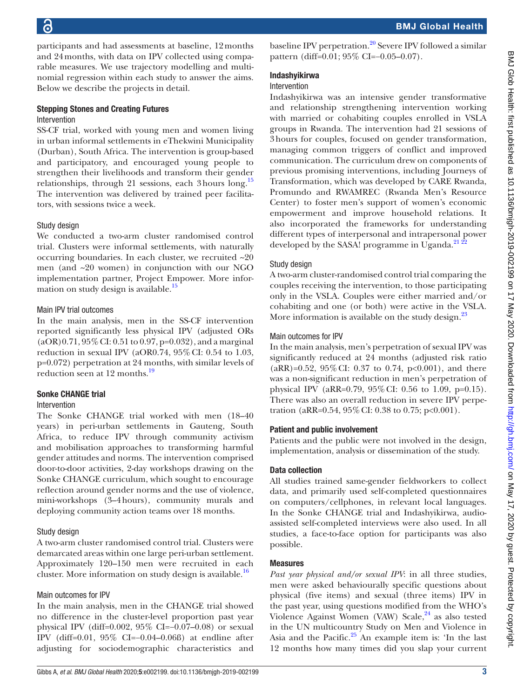participants and had assessments at baseline, 12months and 24months, with data on IPV collected using comparable measures. We use trajectory modelling and multinomial regression within each study to answer the aims. Below we describe the projects in detail.

#### Stepping Stones and Creating Futures Intervention

SS-CF trial, worked with young men and women living in urban informal settlements in eThekwini Municipality (Durban), South Africa. The intervention is group-based and participatory, and encouraged young people to strengthen their livelihoods and transform their gender relationships, through 21 sessions, each 3hours long.[15](#page-13-5) The intervention was delivered by trained peer facilitators, with sessions twice a week.

#### Study design

We conducted a two-arm cluster randomised control trial. Clusters were informal settlements, with naturally occurring boundaries. In each cluster, we recruited ~20 men (and ~20 women) in conjunction with our NGO implementation partner, Project Empower. More infor-mation on study design is available.<sup>[15](#page-13-5)</sup>

#### Main IPV trial outcomes

In the main analysis, men in the SS-CF intervention reported significantly less physical IPV (adjusted ORs  $(aOR)0.71, 95\% \text{ CI: } 0.51 \text{ to } 0.97, p=0.032$ , and a marginal reduction in sexual IPV (aOR0.74, 95%CI: 0.54 to 1.03, p=0.072) perpetration at 24 months, with similar levels of reduction seen at  $12$  months.<sup>[19](#page-13-9)</sup>

#### Sonke CHANGE trial

#### Intervention

The Sonke CHANGE trial worked with men (18–40 years) in peri-urban settlements in Gauteng, South Africa, to reduce IPV through community activism and mobilisation approaches to transforming harmful gender attitudes and norms. The intervention comprised door-to-door activities, 2-day workshops drawing on the Sonke CHANGE curriculum, which sought to encourage reflection around gender norms and the use of violence, mini-workshops (3–4hours), community murals and deploying community action teams over 18 months.

#### Study design

A two-arm cluster randomised control trial. Clusters were demarcated areas within one large peri-urban settlement. Approximately 120–150 men were recruited in each cluster. More information on study design is available.<sup>16</sup>

#### Main outcomes for IPV

In the main analysis, men in the CHANGE trial showed no difference in the cluster-level proportion past year physical IPV (diff=0.002, 95% CI=−0.07–0.08) or sexual IPV (diff=0.01, 95% CI=−0.04–0.06ß) at endline after adjusting for sociodemographic characteristics and

#### Indashyikirwa

#### Intervention

Indashyikirwa was an intensive gender transformative and relationship strengthening intervention working with married or cohabiting couples enrolled in VSLA groups in Rwanda. The intervention had 21 sessions of 3hours for couples, focused on gender transformation, managing common triggers of conflict and improved communication. The curriculum drew on components of previous promising interventions, including Journeys of Transformation, which was developed by CARE Rwanda, Promundo and RWAMREC (Rwanda Men's Resource Center) to foster men's support of women's economic empowerment and improve household relations. It also incorporated the frameworks for understanding different types of interpersonal and intrapersonal power developed by the SASA! programme in Uganda. $^{212}$ 

#### Study design

A two-arm cluster-randomised control trial comparing the couples receiving the intervention, to those participating only in the VSLA. Couples were either married and/or cohabiting and one (or both) were active in the VSLA. More information is available on the study design.<sup>23</sup>

#### Main outcomes for IPV

In the main analysis, men's perpetration of sexual IPV was significantly reduced at 24 months (adjusted risk ratio  $(aRR)=0.52$ , 95% CI: 0.37 to 0.74, p<0.001), and there was a non-significant reduction in men's perpetration of physical IPV (aRR=0.79, 95%CI: 0.56 to 1.09, p=0.15). There was also an overall reduction in severe IPV perpetration (aRR= $0.54$ ,  $95\%$  CI: 0.38 to 0.75; p<0.001).

#### Patient and public involvement

Patients and the public were not involved in the design, implementation, analysis or dissemination of the study.

#### Data collection

All studies trained same-gender fieldworkers to collect data, and primarily used self-completed questionnaires on computers/cellphones, in relevant local languages. In the Sonke CHANGE trial and Indashyikirwa, audioassisted self-completed interviews were also used. In all studies, a face-to-face option for participants was also possible.

#### Measures

*Past year physical and/or sexual IPV*: in all three studies, men were asked behaviourally specific questions about physical (five items) and sexual (three items) IPV in the past year, using questions modified from the WHO's Violence Against Women (VAW) Scale,<sup>24</sup> as also tested in the UN multicountry Study on Men and Violence in Asia and the Pacific. $25$  An example item is: 'In the last 12 months how many times did you slap your current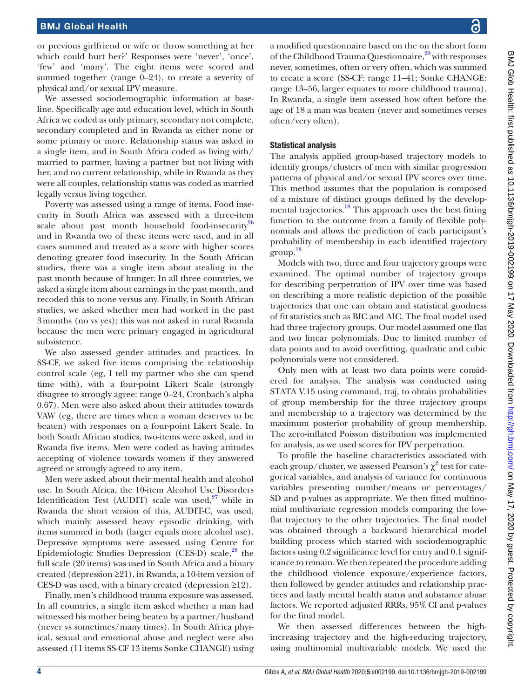or previous girlfriend or wife or throw something at her which could hurt her?' Responses were 'never', 'once', 'few' and 'many'. The eight items were scored and summed together (range 0–24), to create a severity of physical and/or sexual IPV measure.

We assessed sociodemographic information at baseline. Specifically age and education level, which in South Africa we coded as only primary, secondary not complete, secondary completed and in Rwanda as either none or some primary or more. Relationship status was asked in a single item, and in South Africa coded as living with/ married to partner, having a partner but not living with her, and no current relationship, while in Rwanda as they were all couples, relationship status was coded as married legally versus living together.

Poverty was assessed using a range of items. Food insecurity in South Africa was assessed with a three-item scale about past month household food-insecurity<sup>[26](#page-13-15)</sup> and in Rwanda two of these items were used, and in all cases summed and treated as a score with higher scores denoting greater food insecurity. In the South African studies, there was a single item about stealing in the past month because of hunger. In all three countries, we asked a single item about earnings in the past month, and recoded this to none versus any. Finally, in South African studies, we asked whether men had worked in the past 3months (no vs yes); this was not asked in rural Rwanda because the men were primary engaged in agricultural subsistence.

We also assessed gender attitudes and practices. In SS-CF, we asked five items comprising the relationship control scale (eg, I tell my partner who she can spend time with), with a four-point Likert Scale (strongly disagree to strongly agree: range 0–24, Cronbach's alpha 0.67). Men were also asked about their attitudes towards VAW (eg, there are times when a woman deserves to be beaten) with responses on a four-point Likert Scale. In both South African studies, two-items were asked, and in Rwanda five items. Men were coded as having attitudes accepting of violence towards women if they answered agreed or strongly agreed to any item.

Men were asked about their mental health and alcohol use. In South Africa, the 10-item Alcohol Use Disorders Identification Test (AUDIT) scale was used, $27$  while in Rwanda the short version of this, AUDIT-C, was used, which mainly assessed heavy episodic drinking, with items summed in both (larger equals more alcohol use). Depressive symptoms were assessed using Centre for Epidemiologic Studies Depression (CES-D) scale, $^{28}$  the full scale (20 items) was used in South Africa and a binary created (depression ≥21), in Rwanda, a 10-item version of CES-D was used, with a binary created (depression ≥12).

Finally, men's childhood trauma exposure was assessed. In all countries, a single item asked whether a man had witnessed his mother being beaten by a partner/husband (never vs sometimes/many times). In South Africa physical, sexual and emotional abuse and neglect were also assessed (11 items SS-CF 13 items Sonke CHANGE) using

a modified questionnaire based on the on the short form of the Childhood Trauma Questionnaire,<sup>29</sup> with responses never, sometimes, often or very often, which was summed to create a score (SS-CF: range 11–41; Sonke CHANGE: range 13–56, larger equates to more childhood trauma). In Rwanda, a single item assessed how often before the age of 18 a man was beaten (never and sometimes verses often/very often).

#### Statistical analysis

The analysis applied group-based trajectory models to identify groups/clusters of men with similar progression patterns of physical and/or sexual IPV scores over time. This method assumes that the population is composed of a mixture of distinct groups defined by the develop-mental trajectories.<sup>[18](#page-13-8)</sup> This approach uses the best fitting function to the outcome from a family of flexible polynomials and allows the prediction of each participant's probability of membership in each identified trajectory group. [18](#page-13-8)

Models with two, three and four trajectory groups were examined. The optimal number of trajectory groups for describing perpetration of IPV over time was based on describing a more realistic depiction of the possible trajectories that one can obtain and statistical goodness of fit statistics such as BIC and AIC. The final model used had three trajectory groups. Our model assumed one flat and two linear polynomials. Due to limited number of data points and to avoid overfitting, quadratic and cubic polynomials were not considered.

Only men with at least two data points were considered for analysis. The analysis was conducted using STATA V.15 using command, traj, to obtain probabilities of group membership for the three trajectory groups and membership to a trajectory was determined by the maximum posterior probability of group membership. The zero-inflated Poisson distribution was implemented for analysis, as we used scores for IPV perpetration.

To profile the baseline characteristics associated with each group/cluster, we assessed Pearson's  $\chi^2$  test for categorical variables, and analysis of variance for continuous variables presenting number/means or percentages/ SD and p-values as appropriate. We then fitted multinomial multivariate regression models comparing the lowflat trajectory to the other trajectories. The final model was obtained through a backward hierarchical model building process which started with sociodemographic factors using 0.2 significance level for entry and 0.1 significance to remain. We then repeated the procedure adding the childhood violence exposure/experience factors, then followed by gender attitudes and relationship practices and lastly mental health status and substance abuse factors. We reported adjusted RRRs, 95%CI and p-values for the final model.

We then assessed differences between the highincreasing trajectory and the high-reducing trajectory, using multinomial multivariable models. We used the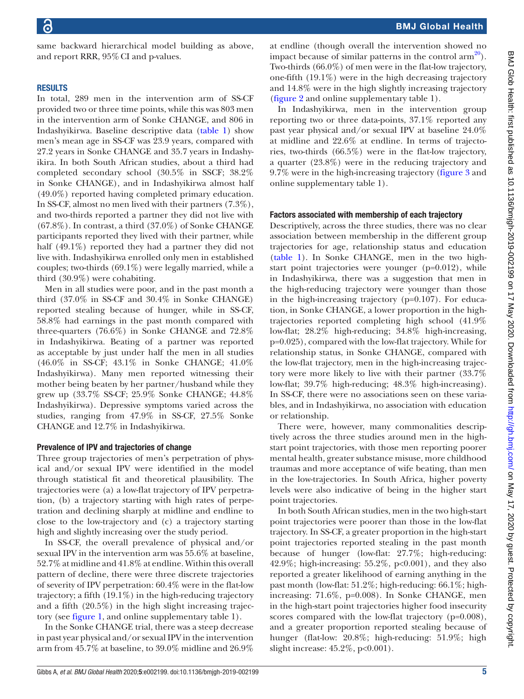same backward hierarchical model building as above, and report RRR, 95%CI and p-values.

#### **RESULTS**

In total, 289 men in the intervention arm of SS-CF provided two or three time points, while this was 803 men in the intervention arm of Sonke CHANGE, and 806 in Indashyikirwa. Baseline descriptive data ([table](#page-5-0) 1) show men's mean age in SS-CF was 23.9 years, compared with 27.2 years in Sonke CHANGE and 35.7 years in Indashyikira. In both South African studies, about a third had completed secondary school (30.5% in SSCF; 38.2% in Sonke CHANGE), and in Indashyikirwa almost half (49.0%) reported having completed primary education. In SS-CF, almost no men lived with their partners (7.3%), and two-thirds reported a partner they did not live with  $(67.8\%)$ . In contrast, a third  $(37.0\%)$  of Sonke CHANGE participants reported they lived with their partner, while half (49.1%) reported they had a partner they did not live with. Indashyikirwa enrolled only men in established couples; two-thirds (69.1%) were legally married, while a third (30.9%) were cohabiting.

Men in all studies were poor, and in the past month a third (37.0% in SS-CF and 30.4% in Sonke CHANGE) reported stealing because of hunger, while in SS-CF, 58.8% had earnings in the past month compared with three-quarters (76.6%) in Sonke CHANGE and 72.8% in Indashyikirwa. Beating of a partner was reported as acceptable by just under half the men in all studies (46.0% in SS-CF; 43.1% in Sonke CHANGE; 41.0% Indashyikirwa). Many men reported witnessing their mother being beaten by her partner/husband while they grew up (33.7% SS-CF; 25.9% Sonke CHANGE; 44.8% Indashyikirwa). Depressive symptoms varied across the studies, ranging from 47.9% in SS-CF, 27.5% Sonke CHANGE and 12.7% in Indashyikirwa.

#### Prevalence of IPV and trajectories of change

Three group trajectories of men's perpetration of physical and/or sexual IPV were identified in the model through statistical fit and theoretical plausibility. The trajectories were (a) a low-flat trajectory of IPV perpetration, (b) a trajectory starting with high rates of perpetration and declining sharply at midline and endline to close to the low-trajectory and (c) a trajectory starting high and slightly increasing over the study period.

In SS-CF, the overall prevalence of physical and/or sexual IPV in the intervention arm was 55.6% at baseline, 52.7% at midline and 41.8% at endline. Within this overall pattern of decline, there were three discrete trajectories of severity of IPV perpetration: 60.4% were in the flat-low trajectory; a fifth (19.1%) in the high-reducing trajectory and a fifth (20.5%) in the high slight increasing trajectory (see [figure](#page-7-0) 1, and [online supplementary table 1\)](https://dx.doi.org/10.1136/bmjgh-2019-002199).

In the Sonke CHANGE trial, there was a steep decrease in past year physical and/or sexual IPV in the intervention arm from 45.7% at baseline, to 39.0% midline and 26.9%

at endline (though overall the intervention showed no impact because of similar patterns in the control  $arm^{20}$ ). Two-thirds (66.0%) of men were in the flat-low trajectory, one-fifth (19.1%) were in the high decreasing trajectory and 14.8% were in the high slightly increasing trajectory [\(figure](#page-7-1) 2 and [online supplementary table 1](https://dx.doi.org/10.1136/bmjgh-2019-002199)).

In Indashyikirwa, men in the intervention group reporting two or three data-points, 37.1% reported any past year physical and/or sexual IPV at baseline 24.0% at midline and 22.6% at endline. In terms of trajectories, two-thirds (66.5%) were in the flat-low trajectory, a quarter (23.8%) were in the reducing trajectory and 9.7% were in the high-increasing trajectory [\(figure](#page-7-2) 3 and [online supplementary table 1](https://dx.doi.org/10.1136/bmjgh-2019-002199)).

#### Factors associated with membership of each trajectory

Descriptively, across the three studies, there was no clear association between membership in the different group trajectories for age, relationship status and education [\(table](#page-5-0) 1). In Sonke CHANGE, men in the two highstart point trajectories were younger (p=0.012), while in Indashyikirwa, there was a suggestion that men in the high-reducing trajectory were younger than those in the high-increasing trajectory (p=0.107). For education, in Sonke CHANGE, a lower proportion in the hightrajectories reported completing high school (41.9% low-flat; 28.2% high-reducing; 34.8% high-increasing, p=0.025), compared with the low-flat trajectory. While for relationship status, in Sonke CHANGE, compared with the low-flat trajectory, men in the high-increasing trajectory were more likely to live with their partner (33.7% low-flat; 39.7% high-reducing; 48.3% high-increasing). In SS-CF, there were no associations seen on these variables, and in Indashyikirwa, no association with education or relationship.

There were, however, many commonalities descriptively across the three studies around men in the highstart point trajectories, with those men reporting poorer mental health, greater substance misuse, more childhood traumas and more acceptance of wife beating, than men in the low-trajectories. In South Africa, higher poverty levels were also indicative of being in the higher start point trajectories.

In both South African studies, men in the two high-start point trajectories were poorer than those in the low-flat trajectory. In SS-CF, a greater proportion in the high-start point trajectories reported stealing in the past month because of hunger (low-flat: 27.7%; high-reducing: 42.9%; high-increasing: 55.2%, p<0.001), and they also reported a greater likelihood of earning anything in the past month (low-flat: 51.2%; high-reducing: 66.1%; highincreasing: 71.6%, p=0.008). In Sonke CHANGE, men in the high-start point trajectories higher food insecurity scores compared with the low-flat trajectory (p=0.008), and a greater proportion reported stealing because of hunger (flat-low: 20.8%; high-reducing: 51.9%; high slight increase: 45.2%, p<0.001).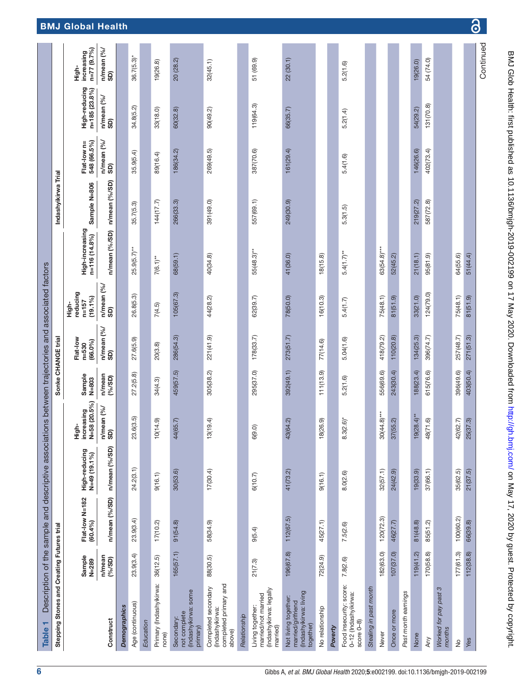| ٣<br><b>Table</b>                                                                 |                   | Description of the sample and descriptive associations between trajectories and associated factors |                                 |                                     |                    |                                     |                                              |                                  |                     |                            |                                    |                                    |
|-----------------------------------------------------------------------------------|-------------------|----------------------------------------------------------------------------------------------------|---------------------------------|-------------------------------------|--------------------|-------------------------------------|----------------------------------------------|----------------------------------|---------------------|----------------------------|------------------------------------|------------------------------------|
| Stepping Stones and Creating Futures trial                                        |                   |                                                                                                    |                                 |                                     | Sonke CHANGE trial |                                     |                                              |                                  | Indashyikirwa Trial |                            |                                    |                                    |
|                                                                                   | Sample<br>N=289   | Flat-low N=182<br>(60.4%)                                                                          | High-reducing<br>$N=49(19.1\%)$ | increasing<br>N=58 (20.5%)<br>High- | Sample<br>N=803    | Flat-low<br>$(66.0\%)$<br>$n = 530$ | reducing<br>$(19.1\%)$<br>$n = 157$<br>High- | High-increasing<br>n=116 (14.8%) | Sample N=806        | 548 (66.5%)<br>Flat-low n= | High-reducing<br>$n = 185 (23.8%)$ | increasing<br>n=77 (9.7%)<br>High- |
| Construct                                                                         | n/mean<br>(96/SD) | n/mean (%/SD)                                                                                      | n/mean (%/SD)                   | $n/m$ ean (%/<br>බූ                 | $n/m$ ean<br>(9/8) | n/mean (%/<br>SD)                   | n/mean (%<br>6D                              | n/mean (%/SD)                    | n/mean (%/SD)       | n/mean (%/<br>SD)          | n/mean (%/<br>SD)                  | n/mean (%/<br>SD)                  |
| <b>Demographics</b>                                                               |                   |                                                                                                    |                                 |                                     |                    |                                     |                                              |                                  |                     |                            |                                    |                                    |
| Age (continuous)                                                                  | 23.9(3.4)         | 23.9(3.4)                                                                                          | 24.2(3.1)                       | 23.6(3.5)                           | 27.2(5.8)          | 27.6(5.9)                           | 26.8(5.3)                                    | $25.9(5.7)$ **                   | 35.7(5.3)           | 35.9(5.4)                  | 34.8(5.2)                          | $36.7(5.3)$ *                      |
| Education                                                                         |                   |                                                                                                    |                                 |                                     |                    |                                     |                                              |                                  |                     |                            |                                    |                                    |
| Primary (Indashyikirwa:<br>none)                                                  | 36(12.5)          | 17(10.2)                                                                                           | 9(16.1)                         | 10(14.9)                            | 34(4.3)            | 20(3.8)                             | 7(4.5)                                       | $7(6.1)$ **                      | 144(17.7)           | 89(16.4)                   | 33(18.0)                           | 19(26.8)                           |
| (Indashyikirwa: some<br>not complete<br>Secondary:<br>primary)                    | 165(57.1)         | 91(54.8)                                                                                           | 30(53.6)                        | 44(65.7)                            | 459(57.5)          | 286(54.3)                           | 105(67.3)                                    | 68(59.1)                         | 266(33.3)           | 186(34.2)                  | 60(32.8)                           | 20 (28.2)                          |
| completed primary and<br>Completed secondary<br>(Indashyikirwa:<br>above)         | 88(30.5)          | 58(34.9)                                                                                           | 17(30.4)                        | 13(19.4)                            | 305(38.2)          | 221(41.9)                           | 44(28.2)                                     | 40(34.8)                         | 391(49.0)           | 269(49.5)                  | 90(49.2)                           | 32(45.1)                           |
| Relationship                                                                      |                   |                                                                                                    |                                 |                                     |                    |                                     |                                              |                                  |                     |                            |                                    |                                    |
| (Indashyikirwa: legally<br>married/not married<br>Living together:<br>married)    | 21(7.3)           | 9(5.4)                                                                                             | 6(10.7)                         | 6(9.0)                              | 295(37.0)          | 178(33.7)                           | 62(39.7)                                     | $55(48.3)$ **                    | 557(69.1)           | 387(70.6)                  | 119(64.3)                          | 51 (69.9)                          |
| (Indashyikirwa: living<br>Not living together:<br>married/girlfriend<br>together) | 196(67.8)         | 112(67.5)                                                                                          | 41(73.2)                        | 43(64.2)                            | 392(49.1)          | 273(51.7)                           | 78(50.0)                                     | 41(36.0)                         | 249(30.9)           | 161(29.4)                  | 66(35.7)                           | 22(30.1)                           |
| No relationship                                                                   | 72(24.9)          | 45(27.1)                                                                                           | 9(16.1)                         | 18(26.9)                            | 111(13.9)          | 77(14.6)                            | 16(10.3)                                     | 18(15.8)                         |                     |                            |                                    |                                    |
| Poverty                                                                           |                   |                                                                                                    |                                 |                                     |                    |                                     |                                              |                                  |                     |                            |                                    |                                    |
| Food insecurity: score:<br>0-12 (Indashyikirwa:<br>score $0-8$ )                  | 7.8(2.6)          | 7.5(2.6)                                                                                           | 8.0(2.6)                        | $8.3(2.6)$ *                        | 5.2(1.6)           | 5.04(1.6)                           | 5.4(1.7)                                     | $5.4(1.7)$ **                    | 5.3(1.5)            | 5.4(1.6)                   | 5.2(1.4)                           | 5.2(1.6)                           |
| Stealing in past month                                                            |                   |                                                                                                    |                                 |                                     |                    |                                     |                                              |                                  |                     |                            |                                    |                                    |
| Never                                                                             | 182(63.0)         | 120(72.3)                                                                                          | 32(57.1)                        | $30(44.8)***$                       | 556(69.6)          | 418(79.2)                           | 75(48.1)                                     | $63(54.8)$ ***                   |                     |                            |                                    |                                    |
| Once or more                                                                      | 107(37.0)         | 46(27.7)                                                                                           | 24(42.9)                        | 37(55.2)                            | 243(30.4)          | 110(20.8)                           | 81(51.9)                                     | 52(45.2)                         |                     |                            |                                    |                                    |
| Past month earnings                                                               |                   |                                                                                                    |                                 |                                     |                    |                                     |                                              |                                  |                     |                            |                                    |                                    |
| None                                                                              | 119(41.2)         | 81(48.8)                                                                                           | 19(33.9)                        | $19(28.4)$ **                       | 188(23.4)          | 134(25.3)                           | 33(21.0)                                     | 21(18.1)                         | 219(27.2)           | 146(26.6)                  | 54(29.2)                           | 19(26.0)                           |
| Any                                                                               | 170(58.8)         | 85(51.2)                                                                                           | 37(66.1)                        | 48(71.6)                            | 615(76.6)          | 396(74.7)                           | 124(79.0)                                    | 95(81.9)                         | 587(72.8)           | 402(73.4)                  | 131(70.8)                          | 54 (74.0)                          |
| S<br>Worked for pay past<br>months                                                |                   |                                                                                                    |                                 |                                     |                    |                                     |                                              |                                  |                     |                            |                                    |                                    |
| $\frac{1}{2}$                                                                     | 177(61.3)         | 100(60.2)                                                                                          | 35(62.5)                        | 42(62.7)                            | 396(49.6)          | 257(48.7)                           | 75(48.1)                                     | 64(55.6)                         |                     |                            |                                    |                                    |
| Yes                                                                               | 112(38.8)         | 66(39.8)                                                                                           | 21(37.5)                        | 25(37.3)                            | 403(50.4)          | 271(51.3)                           | 81(51.9)                                     | 51(44.4)                         |                     |                            |                                    |                                    |
|                                                                                   |                   |                                                                                                    |                                 |                                     |                    |                                     |                                              |                                  |                     |                            |                                    | Continued                          |

BMJ Glob Health: first published as 10.1136/bmigh-2019-002199 on 17 May 2020. Downloaded from http://gh.bmj.com/ on May 17, 2020 by guest. Protected by copyright. BMJ Glob Health: first published as 10.1136/bmjgh-2019-002199 on 17 May 2020. Downloaded from <http://gh.bmj.com/> on May 17, 2020 by guest. Protected by copyright.

෬

## <span id="page-5-0"></span>6 Gibbs A, *et al*. *BMJ Global Health* 2020; 5:e002199. doi:10.1136/bmjgh-2019-002199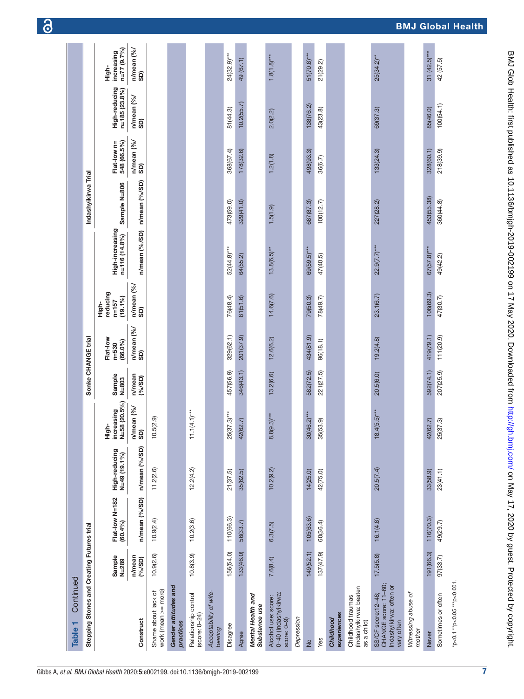| Continued<br>٣<br><b>Table</b>                                                       |                     |                           |                                 |                                     |                     |                                     |                                              |                                  |                     |                            |                                |                                        |
|--------------------------------------------------------------------------------------|---------------------|---------------------------|---------------------------------|-------------------------------------|---------------------|-------------------------------------|----------------------------------------------|----------------------------------|---------------------|----------------------------|--------------------------------|----------------------------------------|
| Stepping Stones and Creating Futures trial                                           |                     |                           |                                 |                                     | Sonke CHANGE trial  |                                     |                                              |                                  | Indashyikirwa Trial |                            |                                |                                        |
|                                                                                      | Sample<br>$N = 289$ | Flat-low N=182<br>(60.4%) | High-reducing<br>$N=49(19.1\%)$ | N=58 (20.5%)<br>High-<br>increasing | Sample<br>$N = 803$ | Flat-low<br>$(66.0\%)$<br>$n = 530$ | reducing<br>$(19.1\%)$<br>$n = 157$<br>High- | High-increasing<br>n=116 (14.8%) | Sample N=806        | 548 (66.5%)<br>Flat-low n= | High-reducing<br>n=185 (23.8%) | $n = 77 (9.7%)$<br>increasing<br>High- |
| Construct                                                                            | n/mean<br>(9/65D)   | n/mean (%/SD)             | n/mean (%/SD)                   | n/mean (%/ $SD$ )                   | n/mean<br>(9/6)     | n/mean (%/<br>SD)                   | n/mean (%/<br>SD)                            | n/mean (%/SD)                    | n/mean (%/SD)       | n/mean (%/<br>SD)          | n/mean (%/<br><b>GS</b>        | n/mean (%/<br>SD)                      |
| work (mean >= more)<br>Shame about lack of                                           | 10.9(2.6)           | 10.9(2.4)                 | 11.2(2.6)                       | 10.5(2.9)                           |                     |                                     |                                              |                                  |                     |                            |                                |                                        |
| Gender attitudes and<br>practices                                                    |                     |                           |                                 |                                     |                     |                                     |                                              |                                  |                     |                            |                                |                                        |
| Relationship control<br>(score: 0–24)                                                | 10.8(3.9)           | 10.2(3.6)                 | 12.2(4.2)                       | $1.1(4.1)***$<br>Ξ                  |                     |                                     |                                              |                                  |                     |                            |                                |                                        |
| Acceptability of wife-<br>beating                                                    |                     |                           |                                 |                                     |                     |                                     |                                              |                                  |                     |                            |                                |                                        |
| Disagree                                                                             | 156(54.0)           | 110(66.3)                 | 21(37.5)                        | $25(37.3)***$                       | 457(56.9)           | 329(62.1)                           | 76(48.4)                                     | 52(44.8)***                      | 473(59.0)           | 368(67.4)                  | 81(44.3)                       | $24(32.9)***$                          |
| Agree                                                                                | 133(46.0)           | 56(33.7)                  | 35(62.5)                        | 42(62.7)                            | 346(43.1)           | 201(37.9)                           | 81(51.6)                                     | 64(55.2)                         | 329(41.0)           | 178(32.6)                  | 10.2(55.7)                     | 49 (67.1)                              |
| Mental Health and<br>Substance use                                                   |                     |                           |                                 |                                     |                     |                                     |                                              |                                  |                     |                            |                                |                                        |
| 0-40 (Indashyikirwa:<br>Alcohol use: score:<br>score: 0-9)                           | 7.6(8.4)            | 6.3(7.5)                  | 10.2(9.2)                       | $8.8(9.3)$ ***                      | 13.2(6.6)           | 12.6(6.2)                           | 14.6(7.6)                                    | $13.8(6.5)$ **                   | 1.5(1.9)            | 1.2(1.8)                   | 2.0(2.2)                       | $1.8(1.8)***$                          |
| Depression                                                                           |                     |                           |                                 |                                     |                     |                                     |                                              |                                  |                     |                            |                                |                                        |
| $\frac{1}{2}$                                                                        | 149(52.1)           | 105(63.6)                 | 14(25.0)                        | $30(46.2)***$                       | 582(72.5)           | 434(81.9)                           | 79(50.3)                                     | $69(59.5)***$                    | 687(87.3)           | 498(93.3)                  | 138(76.2)                      | $51(70.8)***$                          |
| Yes                                                                                  | 137(47.9)           | 60(36.4)                  | 42 (75.0)                       | 35(53.9)                            | 221(27.5)           | 96(18.1)                            | 78(49.7)                                     | 47(40.5)                         | 100(12.7)           | 36(6.7)                    | 43(23.8)                       | 21(29.2)                               |
| experiences<br>Childhood                                                             |                     |                           |                                 |                                     |                     |                                     |                                              |                                  |                     |                            |                                |                                        |
| (Indashyikirwa: beaten<br>Childhood traumas<br>as a child)                           |                     |                           |                                 |                                     |                     |                                     |                                              |                                  |                     |                            |                                |                                        |
| CHANGE score: 11-60;<br>Indashyikirwa: often or<br>SS/CF score: 12-48;<br>very often | 17.5(5.8)           | 16.1(4.8)                 | 20.5(7.4)                       | $18.4(5.5)***$                      | 20.5(6.0)           | 19.2(4.8)                           | 23.1(6.7)                                    | $22.9(7.7)***$                   | 227(28.2)           | 133(24.3)                  | 69(37.3)                       | $25(34.2)$ **                          |
| Witnessing abuse of<br>mother                                                        |                     |                           |                                 |                                     |                     |                                     |                                              |                                  |                     |                            |                                |                                        |
| Never                                                                                | 191 (66.3)          | 116(70.3)                 | 33(58.9)                        | 42(62.7)                            | 592(74.1)           | 419(79.1)                           | 106(69.3)                                    | $67(57.8)$ ***                   | 453(55.38)          | 328(60.1)                  | 85(46.0)                       | $31(42.5)***$                          |
| Sometimes or often                                                                   | 97(33.7)            | 49(29.7)                  | 23(41.1)                        | 25(37.3)                            | 207(25.9)           | 111(20.9)                           | 47(30.7)                                     | 49(42.2)                         | 360(44.8)           | 218(39.9)                  | 100(54.1)                      | 42 (57.5)                              |
| *p<0.1 **p<0.05 ***p<0.001                                                           |                     |                           |                                 |                                     |                     |                                     |                                              |                                  |                     |                            |                                |                                        |

6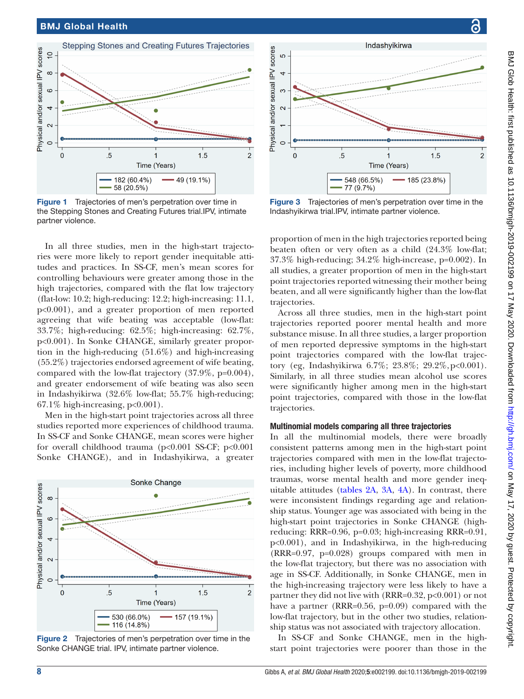

<span id="page-7-0"></span>Figure 1 Trajectories of men's perpetration over time in the Stepping Stones and Creating Futures trial.IPV, intimate partner violence.

In all three studies, men in the high-start trajectories were more likely to report gender inequitable attitudes and practices. In SS-CF, men's mean scores for controlling behaviours were greater among those in the high trajectories, compared with the flat low trajectory (flat-low: 10.2; high-reducing: 12.2; high-increasing: 11.1, p<0.001), and a greater proportion of men reported agreeing that wife beating was acceptable (low-flat: 33.7%; high-reducing: 62.5%; high-increasing: 62.7%, p<0.001). In Sonke CHANGE, similarly greater proportion in the high-reducing (51.6%) and high-increasing (55.2%) trajectories endorsed agreement of wife beating, compared with the low-flat trajectory (37.9%, p=0.004), and greater endorsement of wife beating was also seen in Indashyikirwa (32.6% low-flat; 55.7% high-reducing;  $67.1\%$  high-increasing,  $p<0.001$ ).

Men in the high-start point trajectories across all three studies reported more experiences of childhood trauma. In SS-CF and Sonke CHANGE, mean scores were higher for overall childhood trauma (p<0.001 SS-CF; p<0.001 Sonke CHANGE), and in Indashyikirwa, a greater



<span id="page-7-1"></span>Figure 2 Trajectories of men's perpetration over time in the Sonke CHANGE trial. IPV, intimate partner violence.



<span id="page-7-2"></span>Figure 3 Trajectories of men's perpetration over time in the Indashyikirwa trial.IPV, intimate partner violence.

proportion of men in the high trajectories reported being beaten often or very often as a child (24.3% low-flat; 37.3% high-reducing; 34.2% high-increase, p=0.002). In all studies, a greater proportion of men in the high-start point trajectories reported witnessing their mother being beaten, and all were significantly higher than the low-flat trajectories.

Across all three studies, men in the high-start point trajectories reported poorer mental health and more substance misuse. In all three studies, a larger proportion of men reported depressive symptoms in the high-start point trajectories compared with the low-flat trajectory (eg, Indashyikirwa 6.7%; 23.8%; 29.2%,p<0.001). Similarly, in all three studies mean alcohol use scores were significantly higher among men in the high-start point trajectories, compared with those in the low-flat trajectories.

#### Multinomial models comparing all three trajectories

In all the multinomial models, there were broadly consistent patterns among men in the high-start point trajectories compared with men in the low-flat trajectories, including higher levels of poverty, more childhood traumas, worse mental health and more gender inequitable attitudes ([tables](#page-9-0) 2A, [3A,](#page-10-0) [4A](#page-11-0)). In contrast, there were inconsistent findings regarding age and relationship status. Younger age was associated with being in the high-start point trajectories in Sonke CHANGE (highreducing: RRR=0.96, p=0.03; high-increasing RRR=0.91, p<0.001), and in Indashyikirwa, in the high-reducing (RRR=0.97, p=0.028) groups compared with men in the low-flat trajectory, but there was no association with age in SS-CF. Additionally, in Sonke CHANGE, men in the high-increasing trajectory were less likely to have a partner they did not live with (RRR=0.32, p<0.001) or not have a partner (RRR=0.56, p=0.09) compared with the low-flat trajectory, but in the other two studies, relationship status was not associated with trajectory allocation.

In SS-CF and Sonke CHANGE, men in the highstart point trajectories were poorer than those in the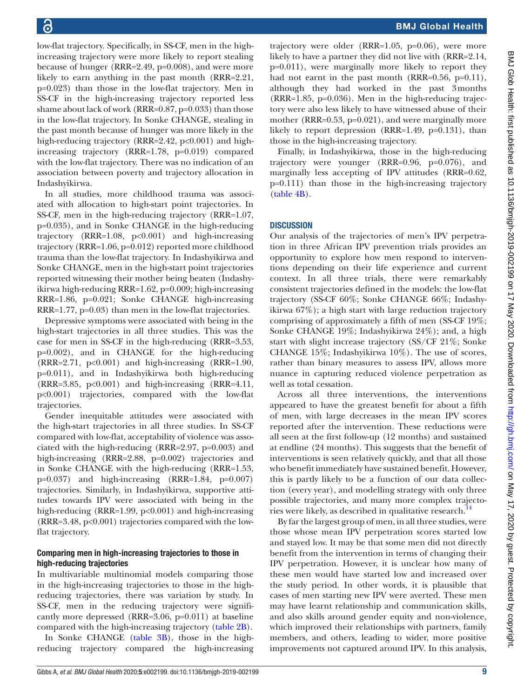low-flat trajectory. Specifically, in SS-CF, men in the highincreasing trajectory were more likely to report stealing because of hunger (RRR=2.49, p=0.008), and were more likely to earn anything in the past month (RRR=2.21, p=0.023) than those in the low-flat trajectory. Men in SS-CF in the high-increasing trajectory reported less shame about lack of work (RRR=0.87, p=0.033) than those in the low-flat trajectory. In Sonke CHANGE, stealing in the past month because of hunger was more likely in the high-reducing trajectory (RRR=2.42,  $p<0.001$ ) and highincreasing trajectory (RRR=1.78, p=0.019) compared with the low-flat trajectory. There was no indication of an association between poverty and trajectory allocation in Indashyikirwa.

In all studies, more childhood trauma was associated with allocation to high-start point trajectories. In SS-CF, men in the high-reducing trajectory (RRR=1.07, p=0.035), and in Sonke CHANGE in the high-reducing trajectory (RRR=1.08, p<0.001) and high-increasing trajectory (RRR=1.06, p=0.012) reported more childhood trauma than the low-flat trajectory. In Indashyikirwa and Sonke CHANGE, men in the high-start point trajectories reported witnessing their mother being beaten (Indashyikirwa high-reducing RRR=1.62, p=0.009; high-increasing RRR=1.86, p=0.021; Sonke CHANGE high-increasing RRR=1.77, p=0.03) than men in the low-flat trajectories.

Depressive symptoms were associated with being in the high-start trajectories in all three studies. This was the case for men in SS-CF in the high-reducing (RRR=3.53, p=0.002), and in CHANGE for the high-reducing  $(RRR=2.71, p<0.001)$  and high-increasing  $(RRR=1.90, p<sub>0.001</sub>)$ p=0.011), and in Indashyikirwa both high-reducing  $(RRR=3.85, p<0.001)$  and high-increasing  $(RRR=4.11, p<sub>0.001</sub>)$ p<0.001) trajectories, compared with the low-flat trajectories.

Gender inequitable attitudes were associated with the high-start trajectories in all three studies. In SS-CF compared with low-flat, acceptability of violence was associated with the high-reducing (RRR=2.97, p=0.003) and high-increasing (RRR=2.88, p=0.002) trajectories and in Sonke CHANGE with the high-reducing (RRR=1.53,  $p=0.037$ ) and high-increasing (RRR=1.84,  $p=0.007$ ) trajectories. Similarly, in Indashyikirwa, supportive attitudes towards IPV were associated with being in the high-reducing (RRR=1.99, p<0.001) and high-increasing (RRR=3.48, p<0.001) trajectories compared with the lowflat trajectory.

#### Comparing men in high-increasing trajectories to those in high-reducing trajectories

In multivariable multinomial models comparing those in the high-increasing trajectories to those in the highreducing trajectories, there was variation by study. In SS-CF, men in the reducing trajectory were significantly more depressed (RRR=3.06, p=0.011) at baseline compared with the high-increasing trajectory ([table](#page-9-1) 2B).

In Sonke CHANGE ([table](#page-10-1) 3B), those in the highreducing trajectory compared the high-increasing

trajectory were older (RRR=1.05, p=0.06), were more likely to have a partner they did not live with (RRR=2.14, p=0.011), were marginally more likely to report they had not earnt in the past month (RRR=0.56, p=0.11), although they had worked in the past 3months (RRR=1.85, p=0.036). Men in the high-reducing trajectory were also less likely to have witnessed abuse of their mother (RRR=0.53, p=0.021), and were marginally more likely to report depression (RRR=1.49, p=0.131), than those in the high-increasing trajectory.

Finally, in Indashyikirwa, those in the high-reducing trajectory were younger (RRR=0.96, p=0.076), and marginally less accepting of IPV attitudes (RRR=0.62, p=0.111) than those in the high-increasing trajectory [\(table](#page-11-1) 4B).

# **DISCUSSION**

Our analysis of the trajectories of men's IPV perpetration in three African IPV prevention trials provides an opportunity to explore how men respond to interventions depending on their life experience and current context. In all three trials, there were remarkably consistent trajectories defined in the models: the low-flat trajectory (SS-CF 60%; Sonke CHANGE 66%; Indashyikirwa 67%); a high start with large reduction trajectory comprising of approximately a fifth of men (SS-CF 19%; Sonke CHANGE 19%; Indashyikirwa 24%); and, a high start with slight increase trajectory (SS/CF 21%; Sonke CHANGE 15%; Indashyikirwa 10%). The use of scores, rather than binary measures to assess IPV, allows more nuance in capturing reduced violence perpetration as well as total cessation.

Across all three interventions, the interventions appeared to have the greatest benefit for about a fifth of men, with large decreases in the mean IPV scores reported after the intervention. These reductions were all seen at the first follow-up (12 months) and sustained at endline (24 months). This suggests that the benefit of interventions is seen relatively quickly, and that all those who benefit immediately have sustained benefit. However, this is partly likely to be a function of our data collection (every year), and modelling strategy with only three possible trajectories, and many more complex trajecto-ries were likely, as described in qualitative research.<sup>[14](#page-13-4)</sup>

By far the largest group of men, in all three studies, were those whose mean IPV perpetration scores started low and stayed low. It may be that some men did not directly benefit from the intervention in terms of changing their IPV perpetration. However, it is unclear how many of these men would have started low and increased over the study period. In other words, it is plausible that cases of men starting new IPV were averted. These men may have learnt relationship and communication skills, and also skills around gender equity and non-violence, which improved their relationships with partners, family members, and others, leading to wider, more positive improvements not captured around IPV. In this analysis,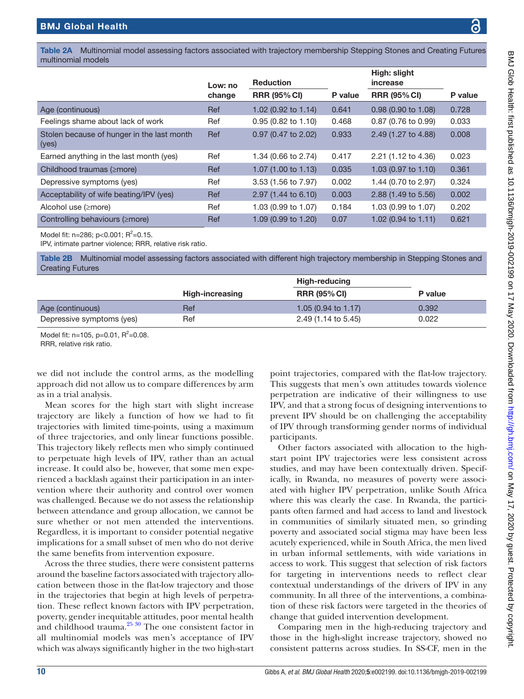<span id="page-9-0"></span>Table 2A Multinomial model assessing factors associated with trajectory membership Stepping Stones and Creating Futures multinomial models

|                                                     | Low: no | <b>Reduction</b>               |         | High: slight<br>increase       |         |
|-----------------------------------------------------|---------|--------------------------------|---------|--------------------------------|---------|
|                                                     | change  | <b>RRR (95% CI)</b>            | P value | <b>RRR (95% CI)</b>            | P value |
| Age (continuous)                                    | Ref     | 1.02 (0.92 to 1.14)            | 0.641   | $0.98$ (0.90 to 1.08)          | 0.728   |
| Feelings shame about lack of work                   | Ref     | $0.95(0.82 \text{ to } 1.10)$  | 0.468   | 0.87 (0.76 to 0.99)            | 0.033   |
| Stolen because of hunger in the last month<br>(yes) | Ref     | $0.97$ (0.47 to 2.02)          | 0.933   | 2.49 (1.27 to 4.88)            | 0.008   |
| Earned anything in the last month (yes)             | Ref     | 1.34 (0.66 to 2.74)            | 0.417   | 2.21 (1.12 to 4.36)            | 0.023   |
| Childhood traumas (≥more)                           | Ref     | 1.07 $(1.00 \text{ to } 1.13)$ | 0.035   | 1.03 (0.97 to 1.10)            | 0.361   |
| Depressive symptoms (yes)                           | Ref     | 3.53 (1.56 to 7.97)            | 0.002   | 1.44 (0.70 to 2.97)            | 0.324   |
| Acceptability of wife beating/IPV (yes)             | Ref     | 2.97 (1.44 to 6.10)            | 0.003   | 2.88 (1.49 to 5.56)            | 0.002   |
| Alcohol use (≥more)                                 | Ref     | 1.03 (0.99 to 1.07)            | 0.184   | 1.03 (0.99 to 1.07)            | 0.202   |
| Controlling behaviours ( <i>imore</i> )             | Ref     | 1.09 (0.99 to 1.20)            | 0.07    | 1.02 $(0.94 \text{ to } 1.11)$ | 0.621   |

Model fit: n=286; p<0.001;  $R^2$ =0.15.

IPV, intimate partner violence; RRR, relative risk ratio.

<span id="page-9-1"></span>Table 2B Multinomial model assessing factors associated with different high trajectory membership in Stepping Stones and Creating Futures

|                           |                 | High-reducing                  |         |
|---------------------------|-----------------|--------------------------------|---------|
|                           | High-increasing | <b>RRR (95% CI)</b>            | P value |
| Age (continuous)          | Ref             | 1.05 $(0.94 \text{ to } 1.17)$ | 0.392   |
| Depressive symptoms (yes) | Ref             | 2.49 (1.14 to 5.45)            | 0.022   |

Model fit:  $n=105$ ,  $p=0.01$ ,  $R^2=0.08$ .

RRR, relative risk ratio.

we did not include the control arms, as the modelling approach did not allow us to compare differences by arm as in a trial analysis.

Mean scores for the high start with slight increase trajectory are likely a function of how we had to fit trajectories with limited time-points, using a maximum of three trajectories, and only linear functions possible. This trajectory likely reflects men who simply continued to perpetuate high levels of IPV, rather than an actual increase. It could also be, however, that some men experienced a backlash against their participation in an intervention where their authority and control over women was challenged. Because we do not assess the relationship between attendance and group allocation, we cannot be sure whether or not men attended the interventions. Regardless, it is important to consider potential negative implications for a small subset of men who do not derive the same benefits from intervention exposure.

Across the three studies, there were consistent patterns around the baseline factors associated with trajectory allocation between those in the flat-low trajectory and those in the trajectories that begin at high levels of perpetration. These reflect known factors with IPV perpetration, poverty, gender inequitable attitudes, poor mental health and childhood trauma. $25\frac{30}{10}$  The one consistent factor in all multinomial models was men's acceptance of IPV which was always significantly higher in the two high-start

point trajectories, compared with the flat-low trajectory. This suggests that men's own attitudes towards violence perpetration are indicative of their willingness to use IPV, and that a strong focus of designing interventions to prevent IPV should be on challenging the acceptability of IPV through transforming gender norms of individual participants.

Other factors associated with allocation to the highstart point IPV trajectories were less consistent across studies, and may have been contextually driven. Specifically, in Rwanda, no measures of poverty were associated with higher IPV perpetration, unlike South Africa where this was clearly the case. In Rwanda, the participants often farmed and had access to land and livestock in communities of similarly situated men, so grinding poverty and associated social stigma may have been less acutely experienced, while in South Africa, the men lived in urban informal settlements, with wide variations in access to work. This suggest that selection of risk factors for targeting in interventions needs to reflect clear contextual understandings of the drivers of IPV in any community. In all three of the interventions, a combination of these risk factors were targeted in the theories of change that guided intervention development.

Comparing men in the high-reducing trajectory and those in the high-slight increase trajectory, showed no consistent patterns across studies. In SS-CF, men in the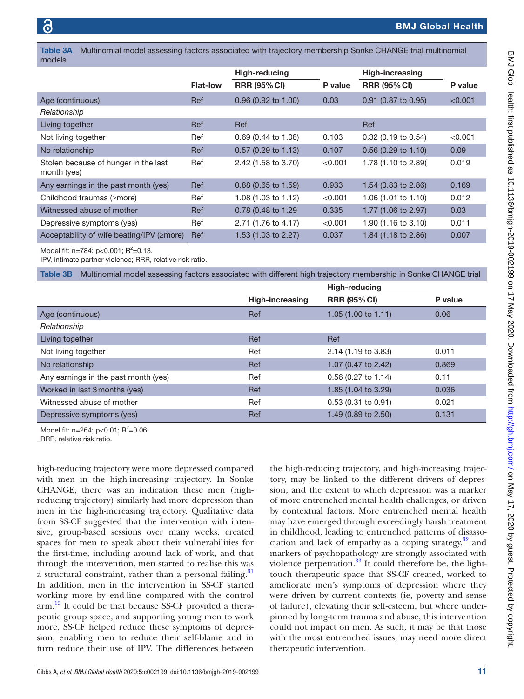<span id="page-10-0"></span>Table 3A Multinomial model assessing factors associated with trajectory membership Sonke CHANGE trial multinomial models

|                                                     |                 | High-reducing         |         | <b>High-increasing</b> |         |
|-----------------------------------------------------|-----------------|-----------------------|---------|------------------------|---------|
|                                                     | <b>Flat-low</b> | <b>RRR (95% CI)</b>   | P value | <b>RRR (95% CI)</b>    | P value |
| Age (continuous)                                    | Ref             | $0.96$ (0.92 to 1.00) | 0.03    | 0.91 (0.87 to 0.95)    | < 0.001 |
| Relationship                                        |                 |                       |         |                        |         |
| Living together                                     | Ref             | Ref                   |         | Ref                    |         |
| Not living together                                 | Ref             | 0.69 (0.44 to 1.08)   | 0.103   | 0.32 (0.19 to 0.54)    | < 0.001 |
| No relationship                                     | Ref             | $0.57$ (0.29 to 1.13) | 0.107   | $0.56$ (0.29 to 1.10)  | 0.09    |
| Stolen because of hunger in the last<br>month (yes) | Ref             | 2.42 (1.58 to 3.70)   | < 0.001 | 1.78 (1.10 to 2.89)    | 0.019   |
| Any earnings in the past month (yes)                | Ref             | $0.88$ (0.65 to 1.59) | 0.933   | 1.54 (0.83 to 2.86)    | 0.169   |
| Childhood traumas (≥more)                           | Ref             | 1.08 (1.03 to 1.12)   | < 0.001 | 1.06 (1.01 to 1.10)    | 0.012   |
| Witnessed abuse of mother                           | Ref             | 0.78 (0.48 to 1.29)   | 0.335   | 1.77 (1.06 to 2.97)    | 0.03    |
| Depressive symptoms (yes)                           | Ref             | 2.71 (1.76 to 4.17)   | < 0.001 | 1.90 (1.16 to 3.10)    | 0.011   |
| Acceptability of wife beating/IPV (≥more)           | Ref             | 1.53 (1.03 to 2.27)   | 0.037   | 1.84 (1.18 to 2.86)    | 0.007   |

Model fit:  $n=784$ ;  $p<0.001$ ;  $R^2=0.13$ .

IPV, intimate partner violence; RRR, relative risk ratio.

<span id="page-10-1"></span>Table 3B Multinomial model assessing factors associated with different high trajectory membership in Sonke CHANGE trial

|                                      |                        | <b>High-reducing</b>           |         |
|--------------------------------------|------------------------|--------------------------------|---------|
|                                      | <b>High-increasing</b> | <b>RRR (95% CI)</b>            | P value |
| Age (continuous)                     | Ref                    | 1.05 $(1.00 \text{ to } 1.11)$ | 0.06    |
| Relationship                         |                        |                                |         |
| Living together                      | Ref                    | Ref                            |         |
| Not living together                  | Ref                    | 2.14 (1.19 to 3.83)            | 0.011   |
| No relationship                      | Ref                    | 1.07 (0.47 to 2.42)            | 0.869   |
| Any earnings in the past month (yes) | Ref                    | $0.56$ (0.27 to 1.14)          | 0.11    |
| Worked in last 3 months (yes)        | Ref                    | 1.85 (1.04 to 3.29)            | 0.036   |
| Witnessed abuse of mother            | Ref                    | 0.53 (0.31 to 0.91)            | 0.021   |
| Depressive symptoms (yes)            | <b>Ref</b>             | 1.49 (0.89 to 2.50)            | 0.131   |

Model fit:  $n=264$ ;  $p<0.01$ ;  $R^2=0.06$ .

RRR, relative risk ratio.

high-reducing trajectory were more depressed compared with men in the high-increasing trajectory. In Sonke CHANGE, there was an indication these men (highreducing trajectory) similarly had more depression than men in the high-increasing trajectory. Qualitative data from SS-CF suggested that the intervention with intensive, group-based sessions over many weeks, created spaces for men to speak about their vulnerabilities for the first-time, including around lack of work, and that through the intervention, men started to realise this was a structural constraint, rather than a personal failing.<sup>[31](#page-13-19)</sup> In addition, men in the intervention in SS-CF started working more by end-line compared with the control arm.<sup>19</sup> It could be that because SS-CF provided a therapeutic group space, and supporting young men to work more, SS-CF helped reduce these symptoms of depression, enabling men to reduce their self-blame and in turn reduce their use of IPV. The differences between

the high-reducing trajectory, and high-increasing trajectory, may be linked to the different drivers of depression, and the extent to which depression was a marker of more entrenched mental health challenges, or driven by contextual factors. More entrenched mental health may have emerged through exceedingly harsh treatment in childhood, leading to entrenched patterns of disassociation and lack of empathy as a coping strategy, $32$  and markers of psychopathology are strongly associated with violence perpetration. $33$  It could therefore be, the lighttouch therapeutic space that SS-CF created, worked to ameliorate men's symptoms of depression where they were driven by current contexts (ie, poverty and sense of failure), elevating their self-esteem, but where underpinned by long-term trauma and abuse, this intervention could not impact on men. As such, it may be that those with the most entrenched issues, may need more direct therapeutic intervention.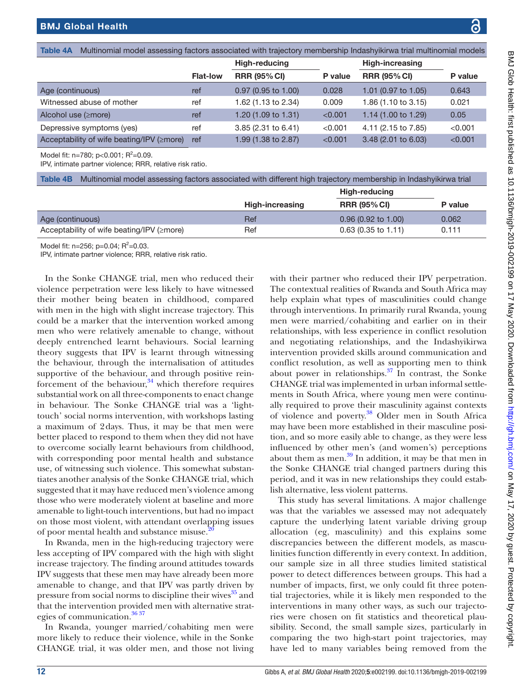| <b>bal Health</b>                                                                                               |  |
|-----------------------------------------------------------------------------------------------------------------|--|
|                                                                                                                 |  |
| Multinomial model assessing factors associated with trajectory membership Indashyikinya trial multinomial model |  |

<span id="page-11-0"></span>

|                 | <b>High-reducing</b> |         | <b>High-increasing</b> |         |
|-----------------|----------------------|---------|------------------------|---------|
| <b>Flat-low</b> | <b>RRR (95% CI)</b>  | P value | <b>RRR (95% CI)</b>    | P value |
| ref             | 0.97 (0.95 to 1.00)  | 0.028   | 1.01 (0.97 to 1.05)    | 0.643   |
| ref             | 1.62 (1.13 to 2.34)  | 0.009   | 1.86 (1.10 to 3.15)    | 0.021   |
| ref             | 1.20 (1.09 to 1.31)  | < 0.001 | 1.14 (1.00 to 1.29)    | 0.05    |
| ref             | 3.85 (2.31 to 6.41)  | < 0.001 | 4.11 (2.15 to 7.85)    | < 0.001 |
| ref             | 1.99 (1.38 to 2.87)  | < 0.001 | 3.48 (2.01 to 6.03)    | < 0.001 |
|                 |                      |         |                        |         |

Model fit:  $n=780$ ;  $p<0.001$ ;  $R^2=0.09$ .

IPV, intimate partner violence; RRR, relative risk ratio.

<span id="page-11-1"></span>Table 4B Multinomial model assessing factors associated with different high trajectory membership in Indashyikirwa trial

|                                                  |                 | High-reducing         |         |
|--------------------------------------------------|-----------------|-----------------------|---------|
|                                                  | High-increasing | <b>RRR (95% CI)</b>   | P value |
| Age (continuous)                                 | Ref             | $0.96$ (0.92 to 1.00) | 0.062   |
| Acceptability of wife beating/IPV ( $\geq$ more) | Ref             | $0.63$ (0.35 to 1.11) | 0.111   |

Model fit:  $n=256$ ;  $p=0.04$ ;  $R^2=0.03$ .

IPV, intimate partner violence; RRR, relative risk ratio.

In the Sonke CHANGE trial, men who reduced their violence perpetration were less likely to have witnessed their mother being beaten in childhood, compared with men in the high with slight increase trajectory. This could be a marker that the intervention worked among men who were relatively amenable to change, without deeply entrenched learnt behaviours. Social learning theory suggests that IPV is learnt through witnessing the behaviour, through the internalisation of attitudes supportive of the behaviour, and through positive reinforcement of the behaviour, $34$  which therefore requires substantial work on all three-components to enact change in behaviour. The Sonke CHANGE trial was a 'lighttouch' social norms intervention, with workshops lasting a maximum of 2days. Thus, it may be that men were better placed to respond to them when they did not have to overcome socially learnt behaviours from childhood, with corresponding poor mental health and substance use, of witnessing such violence. This somewhat substantiates another analysis of the Sonke CHANGE trial, which suggested that it may have reduced men's violence among those who were moderately violent at baseline and more amenable to light-touch interventions, but had no impact on those most violent, with attendant overlapping issues of poor mental health and substance misuse.<sup>2</sup>

In Rwanda, men in the high-reducing trajectory were less accepting of IPV compared with the high with slight increase trajectory. The finding around attitudes towards IPV suggests that these men may have already been more amenable to change, and that IPV was partly driven by pressure from social norms to discipline their wives<sup>35</sup> and that the intervention provided men with alternative strat-egies of communication.<sup>[36 37](#page-13-24)</sup>

In Rwanda, younger married/cohabiting men were more likely to reduce their violence, while in the Sonke CHANGE trial, it was older men, and those not living

with their partner who reduced their IPV perpetration. The contextual realities of Rwanda and South Africa may help explain what types of masculinities could change through interventions. In primarily rural Rwanda, young men were married/cohabiting and earlier on in their relationships, with less experience in conflict resolution and negotiating relationships, and the Indashyikirwa intervention provided skills around communication and conflict resolution, as well as supporting men to think about power in relationships. $37$  In contrast, the Sonke CHANGE trial was implemented in urban informal settlements in South Africa, where young men were continually required to prove their masculinity against contexts of violence and poverty.<sup>38</sup> Older men in South Africa may have been more established in their masculine position, and so more easily able to change, as they were less influenced by other men's (and women's) perceptions about them as men. $39$  In addition, it may be that men in the Sonke CHANGE trial changed partners during this period, and it was in new relationships they could establish alternative, less violent patterns.

This study has several limitations. A major challenge was that the variables we assessed may not adequately capture the underlying latent variable driving group allocation (eg, masculinity) and this explains some discrepancies between the different models, as masculinities function differently in every context. In addition, our sample size in all three studies limited statistical power to detect differences between groups. This had a number of impacts, first, we only could fit three potential trajectories, while it is likely men responded to the interventions in many other ways, as such our trajectories were chosen on fit statistics and theoretical plausibility. Second, the small sample sizes, particularly in comparing the two high-start point trajectories, may have led to many variables being removed from the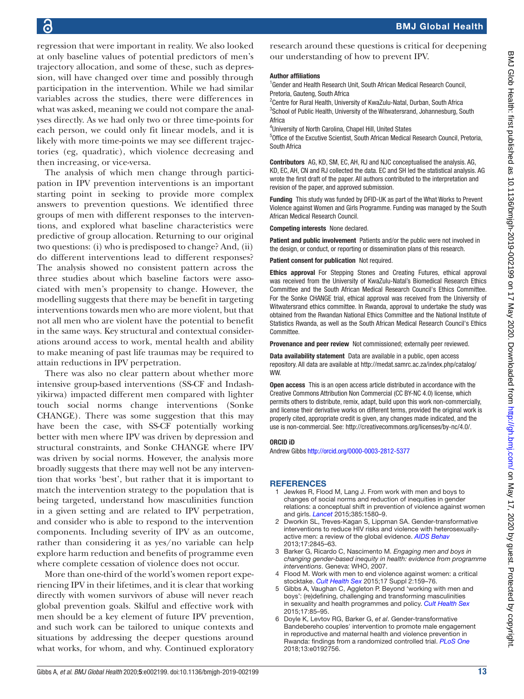regression that were important in reality. We also looked at only baseline values of potential predictors of men's trajectory allocation, and some of these, such as depression, will have changed over time and possibly through participation in the intervention. While we had similar variables across the studies, there were differences in what was asked, meaning we could not compare the analyses directly. As we had only two or three time-points for each person, we could only fit linear models, and it is likely with more time-points we may see different trajectories (eg, quadratic), which violence decreasing and then increasing, or vice-versa.

The analysis of which men change through participation in IPV prevention interventions is an important starting point in seeking to provide more complex answers to prevention questions. We identified three groups of men with different responses to the interventions, and explored what baseline characteristics were predictive of group allocation. Returning to our original two questions: (i) who is predisposed to change? And, (ii) do different interventions lead to different responses? The analysis showed no consistent pattern across the three studies about which baseline factors were associated with men's propensity to change. However, the modelling suggests that there may be benefit in targeting interventions towards men who are more violent, but that not all men who are violent have the potential to benefit in the same ways. Key structural and contextual considerations around access to work, mental health and ability to make meaning of past life traumas may be required to attain reductions in IPV perpetration.

There was also no clear pattern about whether more intensive group-based interventions (SS-CF and Indashyikirwa) impacted different men compared with lighter touch social norms change interventions (Sonke CHANGE). There was some suggestion that this may have been the case, with SS-CF potentially working better with men where IPV was driven by depression and structural constraints, and Sonke CHANGE where IPV was driven by social norms. However, the analysis more broadly suggests that there may well not be any intervention that works 'best', but rather that it is important to match the intervention strategy to the population that is being targeted, understand how masculinities function in a given setting and are related to IPV perpetration, and consider who is able to respond to the intervention components. Including severity of IPV as an outcome, rather than considering it as yes/no variable can help explore harm reduction and benefits of programme even where complete cessation of violence does not occur.

More than one-third of the world's women report experiencing IPV in their lifetimes, and it is clear that working directly with women survivors of abuse will never reach global prevention goals. Skilful and effective work with men should be a key element of future IPV prevention, and such work can be tailored to unique contexts and situations by addressing the deeper questions around what works, for whom, and why. Continued exploratory

research around these questions is critical for deepening our understanding of how to prevent IPV.

#### Author affiliations

<sup>1</sup>Gender and Health Research Unit, South African Medical Research Council, Pretoria, Gauteng, South Africa

<sup>2</sup> Centre for Rural Health, University of KwaZulu-Natal, Durban, South Africa <sup>3</sup>School of Public Health, University of the Witwatersrand, Johannesburg, South Africa

4 University of North Carolina, Chapel Hill, United States

5 Office of the Excutive Scientist, South African Medical Research Council, Pretoria, South Africa

Contributors AG, KD, SM, EC, AH, RJ and NJC conceptualised the analysis. AG, KD, EC, AH, CN and RJ collected the data. EC and SH led the statistical analysis. AG wrote the first draft of the paper. All authors contributed to the interpretation and revision of the paper, and approved submission.

Funding This study was funded by DFID-UK as part of the What Works to Prevent Violence against Women and Girls Programme. Funding was managed by the South African Medical Research Council.

Competing interests None declared.

**Patient and public involvement** Patients and/or the public were not involved in the design, or conduct, or reporting or dissemination plans of this research.

Patient consent for publication Not required.

Ethics approval For Stepping Stones and Creating Futures, ethical approval was received from the University of KwaZulu-Natal's Biomedical Research Ethics Committee and the South African Medical Research Council's Ethics Committee. For the Sonke CHANGE trial, ethical approval was received from the University of Witwatersrand ethics committee. In Rwanda, approval to undertake the study was obtained from the Rwandan National Ethics Committee and the National Institute of Statistics Rwanda, as well as the South African Medical Research Council's Ethics **Committee** 

Provenance and peer review Not commissioned; externally peer reviewed.

Data availability statement Data are available in a public, open access repository. All data are available at [http://medat.samrc.ac.za/index.php/catalog/](http://medat.samrc.ac.za/index.php/catalog/WW) [WW.](http://medat.samrc.ac.za/index.php/catalog/WW)

Open access This is an open access article distributed in accordance with the Creative Commons Attribution Non Commercial (CC BY-NC 4.0) license, which permits others to distribute, remix, adapt, build upon this work non-commercially, and license their derivative works on different terms, provided the original work is properly cited, appropriate credit is given, any changes made indicated, and the use is non-commercial. See:<http://creativecommons.org/licenses/by-nc/4.0/>.

#### ORCID iD

Andrew Gibbs <http://orcid.org/0000-0003-2812-5377>

#### **REFERENCES**

- <span id="page-12-0"></span>1 Jewkes R, Flood M, Lang J. From work with men and boys to changes of social norms and reduction of inequities in gender relations: a conceptual shift in prevention of violence against women and girls. *[Lancet](http://dx.doi.org/10.1016/S0140-6736(14)61683-4)* 2015;385:1580–9.
- 2 Dworkin SL, Treves-Kagan S, Lippman SA. Gender-transformative interventions to reduce HIV risks and violence with heterosexuallyactive men: a review of the global evidence. *[AIDS Behav](http://dx.doi.org/10.1007/s10461-013-0565-2)* 2013;17:2845–63.
- 3 Barker G, Ricardo C, Nascimento M. *Engaging men and boys in changing gender-based inequity in health: evidence from programme interventions*. Geneva: WHO, 2007.
- 4 Flood M. Work with men to end violence against women: a critical stocktake. *[Cult Health Sex](http://dx.doi.org/10.1080/13691058.2015.1070435)* 2015;17 Suppl 2:159–76.
- 5 Gibbs A, Vaughan C, Aggleton P. Beyond 'working with men and boys': (re)defining, challenging and transforming masculinities in sexuality and health programmes and policy. *[Cult Health Sex](http://dx.doi.org/10.1080/13691058.2015.1092260)* 2015;17:85–95.
- <span id="page-12-1"></span>6 Doyle K, Levtov RG, Barker G, *et al*. Gender-transformative Bandebereho couples' intervention to promote male engagement in reproductive and maternal health and violence prevention in Rwanda: findings from a randomized controlled trial. *[PLoS One](http://dx.doi.org/10.1371/journal.pone.0192756)* 2018;13:e0192756.